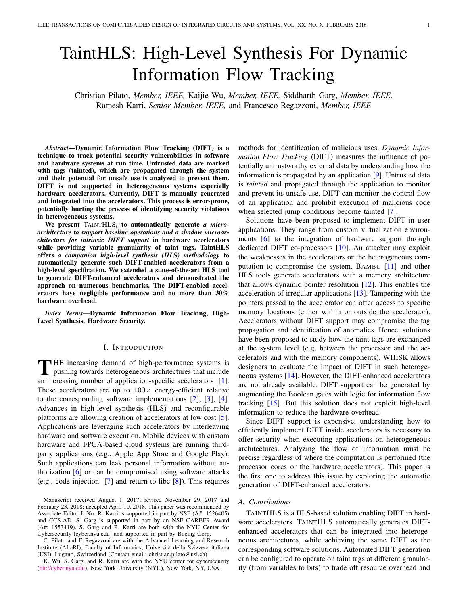# TaintHLS: High-Level Synthesis For Dynamic Information Flow Tracking

Christian Pilato, *Member, IEEE,* Kaijie Wu, *Member, IEEE,* Siddharth Garg, *Member, IEEE,* Ramesh Karri, *Senior Member, IEEE,* and Francesco Regazzoni, *Member, IEEE*

*Abstract*—Dynamic Information Flow Tracking (DIFT) is a technique to track potential security vulnerabilities in software and hardware systems at run time. Untrusted data are marked with tags (tainted), which are propagated through the system and their potential for unsafe use is analyzed to prevent them. DIFT is not supported in heterogeneous systems especially hardware accelerators. Currently, DIFT is manually generated and integrated into the accelerators. This process is error-prone, potentially hurting the process of identifying security violations in heterogeneous systems.

We present TAINTHLS, to automatically generate *a microarchitecture to support baseline operations and a shadow microarchitecture for intrinsic DIFT support* in hardware accelerators while providing variable granularity of taint tags. TaintHLS offers *a companion high-level synthesis (HLS) methodology* to automatically generate such DIFT-enabled accelerators from a high-level specification. We extended a state-of-the-art HLS tool to generate DIFT-enhanced accelerators and demonstrated the approach on numerous benchmarks. The DIFT-enabled accelerators have negligible performance and no more than 30% hardware overhead.

*Index Terms*—Dynamic Information Flow Tracking, High-Level Synthesis, Hardware Security.

## I. INTRODUCTION

THE increasing demand of high-performance systems is<br>pushing towards heterogeneous architectures that include<br>an increasing number of anglication angelfs association. [1] **HE** increasing demand of high-performance systems is an increasing number of application-specific accelerators [\[1\]](#page-9-0). These accelerators are up to  $100 \times$  energy-efficient relative to the corresponding software implementations [\[2\]](#page-9-1), [\[3\]](#page-9-2), [\[4\]](#page-9-3). Advances in high-level synthesis (HLS) and reconfigurable platforms are allowing creation of accelerators at low cost [\[5\]](#page-9-4). Applications are leveraging such accelerators by interleaving hardware and software execution. Mobile devices with custom hardware and FPGA-based cloud systems are running thirdparty applications (e.g., Apple App Store and Google Play). Such applications can leak personal information without authorization [\[6\]](#page-9-5) or can be compromised using software attacks (e.g., code injection  $\lceil 7 \rceil$  and return-to-libc  $\lceil 8 \rceil$ ). This requires

C. Pilato and F. Regazzoni are with the Advanced Learning and Research Institute (ALaRI), Faculty of Informatics, Universita della Svizzera italiana ` (USI), Lugano, Switzerland (Contact email: christian.pilato@usi.ch).

K. Wu, S. Garg, and R. Karri are with the NYU center for cybersecurity [\(htt://cyber.nyu.edu\)](htt://cyber.nyu.edu), New York University (NYU), New York, NY, USA.

methods for identification of malicious uses. *Dynamic Information Flow Tracking* (DIFT) measures the influence of potentially untrustworthy external data by understanding how the information is propagated by an application [\[9\]](#page-9-8). Untrusted data is *tainted* and propagated through the application to monitor and prevent its unsafe use. DIFT can monitor the control flow of an application and prohibit execution of malicious code when selected jump conditions become tainted [\[7\]](#page-9-6).

Solutions have been proposed to implement DIFT in user applications. They range from custom virtualization environments [\[6\]](#page-9-5) to the integration of hardware support through dedicated DIFT co-processors [\[10\]](#page-9-9). An attacker may exploit the weaknesses in the accelerators or the heterogeneous computation to compromise the system. BAMBU [\[11\]](#page-9-10) and other HLS tools generate accelerators with a memory architecture that allows dynamic pointer resolution [\[12\]](#page-9-11). This enables the acceleration of irregular applications [\[13\]](#page-9-12). Tampering with the pointers passed to the accelerator can offer access to specific memory locations (either within or outside the accelerator). Accelerators without DIFT support may compromise the tag propagation and identification of anomalies. Hence, solutions have been proposed to study how the taint tags are exchanged at the system level (e.g, between the processor and the accelerators and with the memory components). WHISK allows designers to evaluate the impact of DIFT in such heterogeneous systems [\[14\]](#page-9-13). However, the DIFT-enhanced accelerators are not already available. DIFT support can be generated by augmenting the Boolean gates with logic for information flow tracking [\[15\]](#page-9-14). But this solution does not exploit high-level information to reduce the hardware overhead.

Since DIFT support is expensive, understanding how to efficiently implement DIFT inside accelerators is necessary to offer security when executing applications on heterogeneous architectures. Analyzing the flow of information must be precise regardless of where the computation is performed (the processor cores or the hardware accelerators). This paper is the first one to address this issue by exploring the automatic generation of DIFT-enhanced accelerators.

#### *A. Contributions*

TAINTHLS is a HLS-based solution enabling DIFT in hardware accelerators. TAINTHLS automatically generates DIFTenhanced accelerators that can be integrated into heterogeneous architectures, while achieving the same DIFT as the corresponding software solutions. Automated DIFT generation can be configured to operate on taint tags at different granularity (from variables to bits) to trade off resource overhead and

Manuscript received August 1, 2017; revised November 29, 2017 and February 23, 2018; accepted April 10, 2018. This paper was recommended by Associate Editor J. Xu. R. Karri is supported in part by NSF (A#: 1526405) and CCS-AD. S. Garg is supported in part by an NSF CAREER Award (A#: 1553419). S. Garg and R. Karri are both with the NYU Center for Cybersecurity (cyber.nyu.edu) and supported in part by Boeing Corp.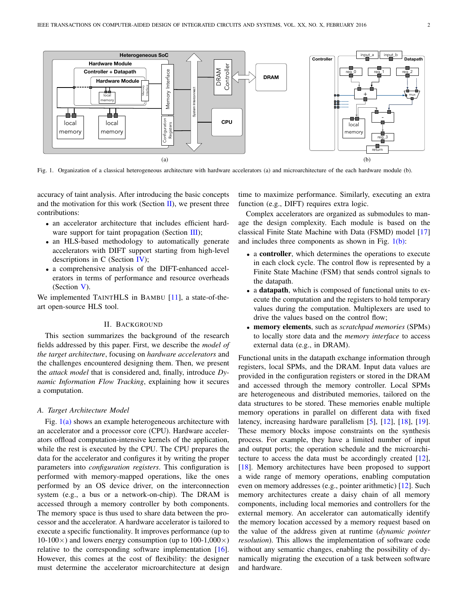<span id="page-1-2"></span>

<span id="page-1-1"></span>Fig. 1. Organization of a classical heterogeneous architecture with hardware accelerators (a) and microarchitecture of the each hardware module (b).

accuracy of taint analysis. After introducing the basic concepts and the motivation for this work (Section [II\)](#page-1-0), we present three contributions:

- an accelerator architecture that includes efficient hard-ware support for taint propagation (Section [III\)](#page-3-0);
- an HLS-based methodology to automatically generate accelerators with DIFT support starting from high-level descriptions in C (Section [IV\)](#page-5-0);
- a comprehensive analysis of the DIFT-enhanced accelerators in terms of performance and resource overheads (Section [V\)](#page-7-0).

We implemented TAINTHLS in BAMBU [\[11\]](#page-9-10), a state-of-theart open-source HLS tool.

## II. BACKGROUND

<span id="page-1-0"></span>This section summarizes the background of the research fields addressed by this paper. First, we describe the *model of the target architecture*, focusing on *hardware accelerators* and the challenges encountered designing them. Then, we present the *attack model* that is considered and, finally, introduce *Dynamic Information Flow Tracking*, explaining how it secures a computation.

# *A. Target Architecture Model*

Fig. [1](#page-1-1)[\(a\)](#page-1-2) shows an example heterogeneous architecture with an accelerator and a processor core (CPU). Hardware accelerators offload computation-intensive kernels of the application, while the rest is executed by the CPU. The CPU prepares the data for the accelerator and configures it by writing the proper parameters into *configuration registers*. This configuration is performed with memory-mapped operations, like the ones performed by an OS device driver, on the interconnection system (e.g., a bus or a network-on-chip). The DRAM is accessed through a memory controller by both components. The memory space is thus used to share data between the processor and the accelerator. A hardware accelerator is tailored to execute a specific functionality. It improves performance (up to 10-100 $\times$ ) and lowers energy consumption (up to 100-1,000 $\times$ ) relative to the corresponding software implementation [\[16\]](#page-9-15). However, this comes at the cost of flexibility: the designer must determine the accelerator microarchitecture at design

<span id="page-1-3"></span>time to maximize performance. Similarly, executing an extra function (e.g., DIFT) requires extra logic.

Complex accelerators are organized as submodules to manage the design complexity. Each module is based on the classical Finite State Machine with Data (FSMD) model [\[17\]](#page-9-16) and includes three components as shown in Fig.  $1(b)$  $1(b)$ :

- a **controller**, which determines the operations to execute in each clock cycle. The control flow is represented by a Finite State Machine (FSM) that sends control signals to the datapath.
- a datapath, which is composed of functional units to execute the computation and the registers to hold temporary values during the computation. Multiplexers are used to drive the values based on the control flow;
- memory elements, such as *scratchpad memories* (SPMs) to locally store data and the *memory interface* to access external data (e.g., in DRAM).

Functional units in the datapath exchange information through registers, local SPMs, and the DRAM. Input data values are provided in the configuration registers or stored in the DRAM and accessed through the memory controller. Local SPMs are heterogeneous and distributed memories, tailored on the data structures to be stored. These memories enable multiple memory operations in parallel on different data with fixed latency, increasing hardware parallelism [\[5\]](#page-9-4), [\[12\]](#page-9-11), [\[18\]](#page-9-17), [\[19\]](#page-9-18). These memory blocks impose constraints on the synthesis process. For example, they have a limited number of input and output ports; the operation schedule and the microarchitecture to access the data must be accordingly created [\[12\]](#page-9-11), [\[18\]](#page-9-17). Memory architectures have been proposed to support a wide range of memory operations, enabling computation even on memory addresses (e.g., pointer arithmetic) [\[12\]](#page-9-11). Such memory architectures create a daisy chain of all memory components, including local memories and controllers for the external memory. An accelerator can automatically identify the memory location accessed by a memory request based on the value of the address given at runtime (*dynamic pointer resolution*). This allows the implementation of software code without any semantic changes, enabling the possibility of dynamically migrating the execution of a task between software and hardware.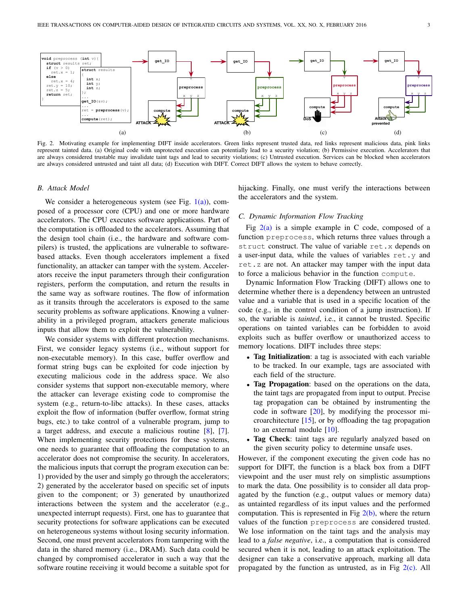<span id="page-2-1"></span>

<span id="page-2-0"></span>Fig. 2. Motivating example for implementing DIFT inside accelerators. Green links represent trusted data, red links represent malicious data, pink links represent tainted data. (a) Original code with unprotected execution can potentially lead to a security violation; (b) Permissive execution. Accelerators that are always considered trustable may invalidate taint tags and lead to security violations; (c) Untrusted execution. Services can be blocked when accelerators are always considered untrusted and taint all data; (d) Execution with DIFT. Correct DIFT allows the system to behave correctly.

## *B. Attack Model*

We consider a heterogeneous system (see Fig.  $1(a)$  $1(a)$ ), composed of a processor core (CPU) and one or more hardware accelerators. The CPU executes software applications. Part of the computation is offloaded to the accelerators. Assuming that the design tool chain (i.e., the hardware and software compilers) is trusted, the applications are vulnerable to softwarebased attacks. Even though accelerators implement a fixed functionality, an attacker can tamper with the system. Accelerators receive the input parameters through their configuration registers, perform the computation, and return the results in the same way as software routines. The flow of information as it transits through the accelerators is exposed to the same security problems as software applications. Knowing a vulnerability in a privileged program, attackers generate malicious inputs that allow them to exploit the vulnerability.

We consider systems with different protection mechanisms. First, we consider legacy systems (i.e., without support for non-executable memory). In this case, buffer overflow and format string bugs can be exploited for code injection by executing malicious code in the address space. We also consider systems that support non-executable memory, where the attacker can leverage existing code to compromise the system (e.g., return-to-libc attacks). In these cases, attacks exploit the flow of information (buffer overflow, format string bugs, etc.) to take control of a vulnerable program, jump to a target address, and execute a malicious routine [\[8\]](#page-9-7), [\[7\]](#page-9-6). When implementing security protections for these systems, one needs to guarantee that offloading the computation to an accelerator does not compromise the security. In accelerators, the malicious inputs that corrupt the program execution can be: 1) provided by the user and simply go through the accelerators; 2) generated by the accelerator based on specific set of inputs given to the component; or 3) generated by unauthorized interactions between the system and the accelerator (e.g., unexpected interrupt requests). First, one has to guarantee that security protections for software applications can be executed on heterogeneous systems without losing security information. Second, one must prevent accelerators from tampering with the data in the shared memory (i.e., DRAM). Such data could be changed by compromised accelerator in such a way that the software routine receiving it would become a suitable spot for

<span id="page-2-4"></span><span id="page-2-3"></span><span id="page-2-2"></span>hijacking. Finally, one must verify the interactions between the accelerators and the system.

## *C. Dynamic Information Flow Tracking*

Fig  $2(a)$  $2(a)$  is a simple example in C code, composed of a function preprocess, which returns three values through a struct construct. The value of variable ret.x depends on a user-input data, while the values of variables ret.y and ret.z are not. An attacker may tamper with the input data to force a malicious behavior in the function compute.

Dynamic Information Flow Tracking (DIFT) allows one to determine whether there is a dependency between an untrusted value and a variable that is used in a specific location of the code (e.g., in the control condition of a jump instruction). If so, the variable is *tainted*, i.e., it cannot be trusted. Specific operations on tainted variables can be forbidden to avoid exploits such as buffer overflow or unauthorized access to memory locations. DIFT includes three steps:

- Tag Initialization: a tag is associated with each variable to be tracked. In our example, tags are associated with each field of the structure.
- Tag Propagation: based on the operations on the data, the taint tags are propagated from input to output. Precise tag propagation can be obtained by instrumenting the code in software [\[20\]](#page-9-19), by modifying the processor microarchitecture [\[15\]](#page-9-14), or by offloading the tag propagation to an external module [\[10\]](#page-9-9).
- Tag Check: taint tags are regularly analyzed based on the given security policy to determine unsafe uses.

However, if the component executing the given code has no support for DIFT, the function is a black box from a DIFT viewpoint and the user must rely on simplistic assumptions to mark the data. One possibility is to consider all data propagated by the function (e.g., output values or memory data) as untainted regardless of its input values and the performed computation. This is represented in Fig  $2(b)$  $2(b)$ , where the return values of the function preprocess are considered trusted. We lose information on the taint tags and the analysis may lead to a *false negative*, i.e., a computation that is considered secured when it is not, leading to an attack exploitation. The designer can take a conservative approach, marking all data propagated by the function as untrusted, as in Fig  $2(c)$  $2(c)$ . All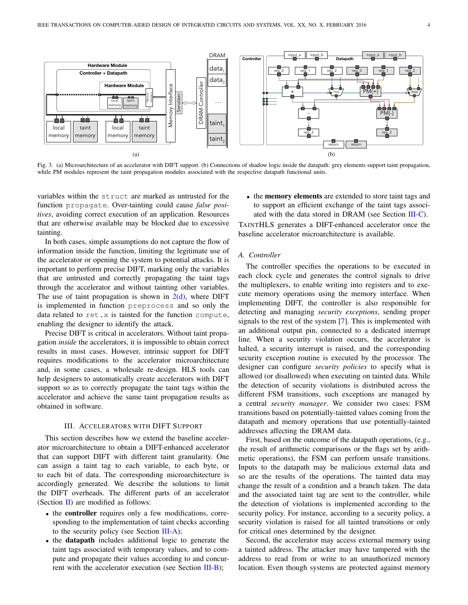<span id="page-3-3"></span>

<span id="page-3-2"></span>Fig. 3. (a) Microarchitecture of an accelerator with DIFT support. (b) Connections of shadow logic inside the datapath: grey elements support taint propagation, while PM modules represent the taint propagation modules associated with the respective datapath functional units.

variables within the struct are marked as untrusted for the function propagate. Over-tainting could cause *false positives*, avoiding correct execution of an application. Resources that are otherwise available may be blocked due to excessive tainting.

In both cases, simple assumptions do not capture the flow of information inside the function, limiting the legitimate use of the accelerator or opening the system to potential attacks. It is important to perform precise DIFT, marking only the variables that are untrusted and correctly propagating the taint tags through the accelerator and without tainting other variables. The use of taint propagation is shown in  $2(d)$  $2(d)$ , where DIFT is implemented in function preprocess and so only the data related to ret.x is tainted for the function compute, enabling the designer to identify the attack.

Precise DIFT is critical in accelerators. Without taint propagation *inside* the accelerators, it is impossible to obtain correct results in most cases. However, intrinsic support for DIFT requires modifications to the accelerator microarchitecture and, in some cases, a wholesale re-design. HLS tools can help designers to automatically create accelerators with DIFT support so as to correctly propagate the taint tags within the accelerator and achieve the same taint propagation results as obtained in software.

## III. ACCELERATORS WITH DIFT SUPPORT

<span id="page-3-0"></span>This section describes how we extend the baseline accelerator microarchitecture to obtain a DIFT-enhanced accelerator that can support DIFT with different taint granularity. One can assign a taint tag to each variable, to each byte, or to each bit of data. The corresponding microarchitecture is accordingly generated. We describe the solutions to limit the DIFT overheads. The different parts of an accelerator (Section  $\mathbf{II}$ ) are modified as follows:

- the controller requires only a few modifications, corresponding to the implementation of taint checks according to the security policy (see Section  $III-A$ );
- the datapath includes additional logic to generate the taint tags associated with temporary values, and to compute and propagate their values according to and concur-rent with the accelerator execution (see Section [III-B\)](#page-4-0);

<span id="page-3-4"></span>• the memory elements are extended to store taint tags and to support an efficient exchange of the taint tags associ-ated with the data stored in DRAM (see Section [III-C\)](#page-5-1).

TAINTHLS generates a DIFT-enhanced accelerator once the baseline accelerator microarchitecture is available.

# <span id="page-3-1"></span>*A. Controller*

The controller specifies the operations to be executed in each clock cycle and generates the control signals to drive the multiplexers, to enable writing into registers and to execute memory operations using the memory interface. When implementing DIFT, the controller is also responsible for detecting and managing *security exceptions*, sending proper signals to the rest of the system [\[7\]](#page-9-6). This is implemented with an additional output pin, connected to a dedicated interrupt line. When a security violation occurs, the accelerator is halted, a security interrupt is raised, and the corresponding security exception routine is executed by the processor. The designer can configure *security policies* to specify what is allowed (or disallowed) when executing on tainted data. While the detection of security violations is distributed across the different FSM transitions, such exceptions are managed by a central *security manager*. We consider two cases: FSM transitions based on potentially-tainted values coming from the datapath and memory operations that use potentially-tainted addresses affecting the DRAM data.

First, based on the outcome of the datapath operations, (e.g., the result of arithmetic comparisons or the flags set by arithmetic operations), the FSM can perform unsafe transitions. Inputs to the datapath may be malicious external data and so are the results of the operations. The tainted data may change the result of a condition and a branch taken. The data and the associated taint tag are sent to the controller, while the detection of violations is implemented according to the security policy. For instance, according to a security policy, a security violation is raised for all tainted transitions or only for critical ones determined by the designer.

Second, the accelerator may access external memory using a tainted address. The attacker may have tampered with the address to read from or write to an unauthorized memory location. Even though systems are protected against memory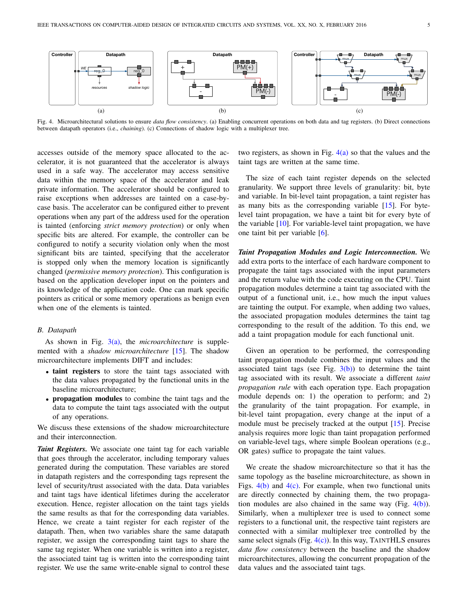

<span id="page-4-2"></span><span id="page-4-1"></span>Fig. 4. Microarchitectural solutions to ensure *data flow consistency*. (a) Enabling concurrent operations on both data and tag registers. (b) Direct connections between datapath operators (i.e., *chaining*). (c) Connections of shadow logic with a multiplexer tree.

accesses outside of the memory space allocated to the accelerator, it is not guaranteed that the accelerator is always used in a safe way. The accelerator may access sensitive data within the memory space of the accelerator and leak private information. The accelerator should be configured to raise exceptions when addresses are tainted on a case-bycase basis. The accelerator can be configured either to prevent operations when any part of the address used for the operation is tainted (enforcing *strict memory protection*) or only when specific bits are altered. For example, the controller can be configured to notify a security violation only when the most significant bits are tainted, specifying that the accelerator is stopped only when the memory location is significantly changed (*permissive memory protection*). This configuration is based on the application developer input on the pointers and its knowledge of the application code. One can mark specific pointers as critical or some memory operations as benign even when one of the elements is tainted.

## <span id="page-4-0"></span>*B. Datapath*

As shown in Fig. [3](#page-3-2)[\(a\),](#page-3-3) the *microarchitecture* is supplemented with a *shadow microarchitecture* [\[15\]](#page-9-14). The shadow microarchitecture implements DIFT and includes:

- taint registers to store the taint tags associated with the data values propagated by the functional units in the baseline microarchitecture;
- propagation modules to combine the taint tags and the data to compute the taint tags associated with the output of any operations.

We discuss these extensions of the shadow microarchitecture and their interconnection.

*Taint Registers.* We associate one taint tag for each variable that goes through the accelerator, including temporary values generated during the computation. These variables are stored in datapath registers and the corresponding tags represent the level of security/trust associated with the data. Data variables and taint tags have identical lifetimes during the accelerator execution. Hence, register allocation on the taint tags yields the same results as that for the corresponding data variables. Hence, we create a taint register for each register of the datapath. Then, when two variables share the same datapath register, we assign the corresponding taint tags to share the same tag register. When one variable is written into a register, the associated taint tag is written into the corresponding taint register. We use the same write-enable signal to control these

<span id="page-4-4"></span><span id="page-4-3"></span>two registers, as shown in Fig.  $4(a)$  $4(a)$  so that the values and the taint tags are written at the same time.

The size of each taint register depends on the selected granularity. We support three levels of granularity: bit, byte and variable. In bit-level taint propagation, a taint register has as many bits as the corresponding variable [\[15\]](#page-9-14). For bytelevel taint propagation, we have a taint bit for every byte of the variable  $[10]$ . For variable-level taint propagation, we have one taint bit per variable [\[6\]](#page-9-5).

*Taint Propagation Modules and Logic Interconnection.* We add extra ports to the interface of each hardware component to propagate the taint tags associated with the input parameters and the return value with the code executing on the CPU. Taint propagation modules determine a taint tag associated with the output of a functional unit, i.e., how much the input values are tainting the output. For example, when adding two values, the associated propagation modules determines the taint tag corresponding to the result of the addition. To this end, we add a taint propagation module for each functional unit.

Given an operation to be performed, the corresponding taint propagation module combines the input values and the associated taint tags (see Fig.  $3(b)$  $3(b)$ ) to determine the taint tag associated with its result. We associate a different *taint propagation rule* with each operation type. Each propagation module depends on: 1) the operation to perform; and 2) the granularity of the taint propagation. For example, in bit-level taint propagation, every change at the input of a module must be precisely tracked at the output [\[15\]](#page-9-14). Precise analysis requires more logic than taint propagation performed on variable-level tags, where simple Boolean operations (e.g., OR gates) suffice to propagate the taint values.

We create the shadow microarchitecture so that it has the same topology as the baseline microarchitecture, as shown in Figs.  $4(b)$  $4(b)$  and  $4(c)$ . For example, when two functional units are directly connected by chaining them, the two propagation modules are also chained in the same way (Fig. [4](#page-4-1)[\(b\)\)](#page-4-3). Similarly, when a multiplexer tree is used to connect some registers to a functional unit, the respective taint registers are connected with a similar multiplexer tree controlled by the same select signals (Fig.  $4(c)$  $4(c)$ ). In this way, TAINTHLS ensures *data flow consistency* between the baseline and the shadow microarchitectures, allowing the concurrent propagation of the data values and the associated taint tags.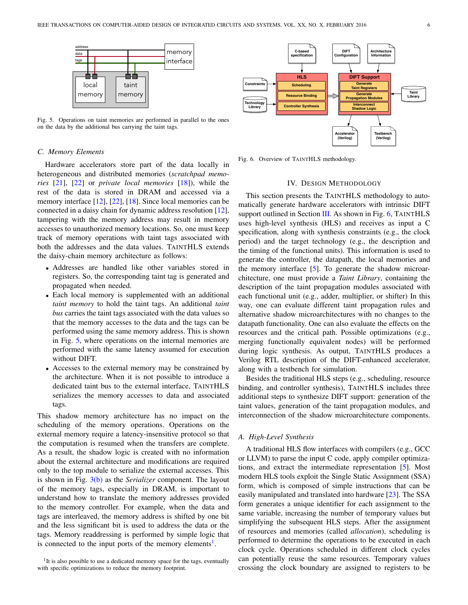

<span id="page-5-2"></span>Fig. 5. Operations on taint memories are performed in parallel to the ones on the data by the additional bus carrying the taint tags.

# <span id="page-5-1"></span>*C. Memory Elements*

Hardware accelerators store part of the data locally in heterogeneous and distributed memories (*scratchpad memories* [\[21\]](#page-9-20), [\[22\]](#page-9-21) or *private local memories* [\[18\]](#page-9-17)), while the rest of the data is stored in DRAM and accessed via a memory interface [\[12\]](#page-9-11), [\[22\]](#page-9-21), [\[18\]](#page-9-17). Since local memories can be connected in a daisy chain for dynamic address resolution [\[12\]](#page-9-11), tampering with the memory address may result in memory accesses to unauthorized memory locations. So, one must keep track of memory operations with taint tags associated with both the addresses and the data values. TAINTHLS extends the daisy-chain memory architecture as follows:

- Addresses are handled like other variables stored in registers. So, the corresponding taint tag is generated and propagated when needed.
- Each local memory is supplemented with an additional *taint memory* to hold the taint tags. An additional *taint bus* carries the taint tags associated with the data values so that the memory accesses to the data and the tags can be performed using the same memory address. This is shown in Fig. [5,](#page-5-2) where operations on the internal memories are performed with the same latency assumed for execution without DIFT.
- Accesses to the external memory may be constrained by the architecture. When it is not possible to introduce a dedicated taint bus to the external interface, TAINTHLS serializes the memory accesses to data and associated tags.

This shadow memory architecture has no impact on the scheduling of the memory operations. Operations on the external memory require a latency-insensitive protocol so that the computation is resumed when the transfers are complete. As a result, the shadow logic is created with no information about the external architecture and modifications are required only to the top module to serialize the external accesses. This is shown in Fig. [3](#page-3-2)[\(b\)](#page-3-4) as the *Serializer* component. The layout of the memory tags, especially in DRAM, is important to understand how to translate the memory addresses provided to the memory controller. For example, when the data and tags are interleaved, the memory address is shifted by one bit and the less significant bit is used to address the data or the tags. Memory readdressing is performed by simple logic that is connected to the input ports of the memory elements<sup>[1](#page-5-3)</sup>.



<span id="page-5-4"></span>Fig. 6. Overview of TAINTHLS methodology.

#### IV. DESIGN METHODOLOGY

<span id="page-5-0"></span>This section presents the TAINTHLS methodology to automatically generate hardware accelerators with intrinsic DIFT support outlined in Section [III.](#page-3-0) As shown in Fig. [6,](#page-5-4) TAINTHLS uses high-level synthesis (HLS) and receives as input a C specification, along with synthesis constraints (e.g., the clock period) and the target technology (e.g., the description and the timing of the functional units). This information is used to generate the controller, the datapath, the local memories and the memory interface [\[5\]](#page-9-4). To generate the shadow microarchitecture, one must provide a *Taint Library*, containing the description of the taint propagation modules associated with each functional unit (e.g., adder, multiplier, or shifter) In this way, one can evaluate different taint propagation rules and alternative shadow microarchitectures with no changes to the datapath functionality. One can also evaluate the effects on the resources and the critical path. Possible optimizations (e.g., merging functionally equivalent nodes) will be performed during logic synthesis. As output, TAINTHLS produces a Verilog RTL description of the DIFT-enhanced accelerator, along with a testbench for simulation.

Besides the traditional HLS steps (e.g., scheduling, resource binding, and controller synthesis), TAINTHLS includes three additional steps to synthesize DIFT support: generation of the taint values, generation of the taint propagation modules, and interconnection of the shadow microarchitecture components.

#### *A. High-Level Synthesis*

A traditional HLS flow interfaces with compilers (e.g., GCC or LLVM) to parse the input C code, apply compiler optimizations, and extract the intermediate representation [\[5\]](#page-9-4). Most modern HLS tools exploit the Single Static Assignment (SSA) form, which is composed of simple instructions that can be easily manipulated and translated into hardware [\[23\]](#page-9-22). The SSA form generates a unique identifier for each assignment to the same variable, increasing the number of temporary values but simplifying the subsequent HLS steps. After the assignment of resources and memories (called *allocation*), scheduling is performed to determine the operations to be executed in each clock cycle. Operations scheduled in different clock cycles can potentially reuse the same resources. Temporary values crossing the clock boundary are assigned to registers to be

<span id="page-5-3"></span><sup>&</sup>lt;sup>1</sup>It is also possible to use a dedicated memory space for the tags, eventually with specific optimizations to reduce the memory footprint.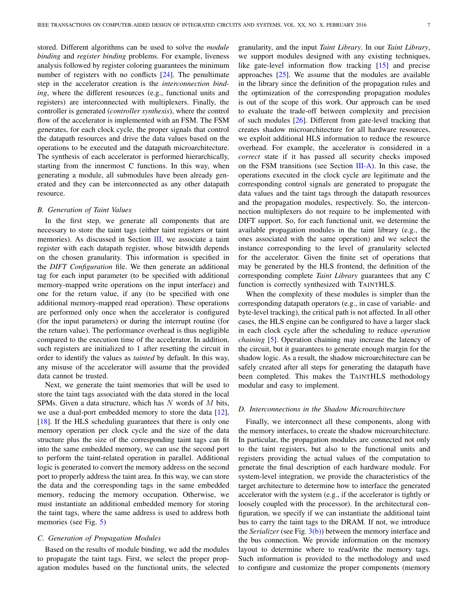stored. Different algorithms can be used to solve the *module binding* and *register binding* problems. For example, liveness analysis followed by register coloring guarantees the minimum number of registers with no conflicts [\[24\]](#page-9-23). The penultimate step in the accelerator creation is the *interconnection binding*, where the different resources (e.g., functional units and registers) are interconnected with multiplexers. Finally, the controller is generated (*controller synthesis*), where the control flow of the accelerator is implemented with an FSM. The FSM generates, for each clock cycle, the proper signals that control the datapath resources and drive the data values based on the operations to be executed and the datapath microarchitecture. The synthesis of each accelerator is performed hierarchically, starting from the innermost C functions. In this way, when generating a module, all submodules have been already generated and they can be interconnected as any other datapath resource.

# *B. Generation of Taint Values*

In the first step, we generate all components that are necessary to store the taint tags (either taint registers or taint memories). As discussed in Section [III,](#page-3-0) we associate a taint register with each datapath register, whose bitwidth depends on the chosen granularity. This information is specified in the *DIFT Configuration* file. We then generate an additional tag for each input parameter (to be specified with additional memory-mapped write operations on the input interface) and one for the return value, if any (to be specified with one additional memory-mapped read operation). These operations are performed only once when the accelerator is configured (for the input parameters) or during the interrupt routine (for the return value). The performance overhead is thus negligible compared to the execution time of the accelerator. In addition, such registers are initialized to 1 after resetting the circuit in order to identify the values as *tainted* by default. In this way, any misuse of the accelerator will assume that the provided data cannot be trusted.

Next, we generate the taint memories that will be used to store the taint tags associated with the data stored in the local SPMs. Given a data structure, which has  $N$  words of  $M$  bits, we use a dual-port embedded memory to store the data [\[12\]](#page-9-11), [\[18\]](#page-9-17). If the HLS scheduling guarantees that there is only one memory operation per clock cycle and the size of the data structure plus the size of the corresponding taint tags can fit into the same embedded memory, we can use the second port to perform the taint-related operation in parallel. Additional logic is generated to convert the memory address on the second port to properly address the taint area. In this way, we can store the data and the corresponding tags in the same embedded memory, reducing the memory occupation. Otherwise, we must instantiate an additional embedded memory for storing the taint tags, where the same address is used to address both memories (see Fig. [5\)](#page-5-2)

# *C. Generation of Propagation Modules*

Based on the results of module binding, we add the modules to propagate the taint tags. First, we select the proper propagation modules based on the functional units, the selected granularity, and the input *Taint Library*. In our *Taint Library*, we support modules designed with any existing techniques, like gate-level information flow tracking [\[15\]](#page-9-14) and precise approaches [\[25\]](#page-9-24). We assume that the modules are available in the library since the definition of the propagation rules and the optimization of the corresponding propagation modules is out of the scope of this work. Our approach can be used to evaluate the trade-off between complexity and precision of such modules [\[26\]](#page-9-25). Different from gate-level tracking that creates shadow microarchitecture for all hardware resources, we exploit additional HLS information to reduce the resource overhead. For example, the accelerator is considered in a *correct* state if it has passed all security checks imposed on the FSM transitions (see Section [III-A\)](#page-3-1). In this case, the operations executed in the clock cycle are legitimate and the corresponding control signals are generated to propagate the data values and the taint tags through the datapath resources and the propagation modules, respectively. So, the interconnection multiplexers do not require to be implemented with DIFT support. So, for each functional unit, we determine the available propagation modules in the taint library (e.g., the ones associated with the same operation) and we select the instance corresponding to the level of granularity selected for the accelerator. Given the finite set of operations that may be generated by the HLS frontend, the definition of the corresponding complete *Taint Library* guarantees that any C function is correctly synthesized with TAINTHLS.

When the complexity of these modules is simpler than the corresponding datapath operators (e.g., in case of variable- and byte-level tracking), the critical path is not affected. In all other cases, the HLS engine can be configured to have a larger slack in each clock cycle after the scheduling to reduce *operation chaining* [\[5\]](#page-9-4). Operation chaining may increase the latency of the circuit, but it guarantees to generate enough margin for the shadow logic. As a result, the shadow microarchitecture can be safely created after all steps for generating the datapath have been completed. This makes the TAINTHLS methodology modular and easy to implement.

#### *D. Interconnections in the Shadow Microarchitecture*

Finally, we interconnect all these components, along with the memory interfaces, to create the shadow microarchitecture. In particular, the propagation modules are connected not only to the taint registers, but also to the functional units and registers providing the actual values of the computation to generate the final description of each hardware module. For system-level integration, we provide the characteristics of the target architecture to determine how to interface the generated accelerator with the system (e.g., if the accelerator is tightly or loosely coupled with the processor). In the architectural configuration, we specify if we can instantiate the additional taint bus to carry the taint tags to the DRAM. If not, we introduce the *Serializer* (see Fig. [3](#page-3-2)[\(b\)\)](#page-3-4) between the memory interface and the bus connection. We provide information on the memory layout to determine where to read/write the memory tags. Such information is provided to the methodology and used to configure and customize the proper components (memory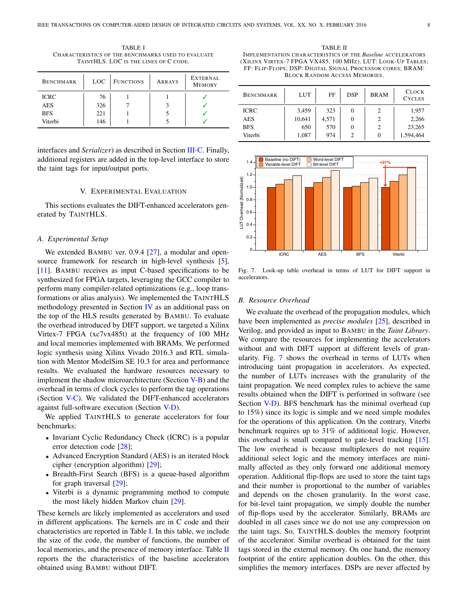<span id="page-7-2"></span>TABLE I CHARACTERISTICS OF THE BENCHMARKS USED TO EVALUATE TAINTHLS. LOC IS THE LINES OF C CODE.

| <b>BENCHMARK</b> | <b>LOC</b> | <b>FUNCTIONS</b> | <b>ARRAYS</b> | EXTERNAL<br><b>MEMORY</b> |
|------------------|------------|------------------|---------------|---------------------------|
| <b>ICRC</b>      | 76         |                  |               |                           |
| AES              | 326        |                  |               |                           |
| <b>BFS</b>       | 221        |                  |               |                           |
| Viterbi          | 146        |                  |               |                           |

interfaces and *Serializer*) as described in Section [III-C.](#page-5-1) Finally, additional registers are added in the top-level interface to store the taint tags for input/output ports.

#### V. EXPERIMENTAL EVALUATION

<span id="page-7-0"></span>This sections evaluates the DIFT-enhanced accelerators generated by TAINTHLS.

## *A. Experimental Setup*

We extended BAMBU ver. 0.9.4 [\[27\]](#page-9-26), a modular and open-source framework for research in high-level synthesis [\[5\]](#page-9-4), [\[11\]](#page-9-10). BAMBU receives as input C-based specifications to be synthesized for FPGA targets, leveraging the GCC compiler to perform many compiler-related optimizations (e.g., loop transformations or alias analysis). We implemented the TAINTHLS methodology presented in Section [IV](#page-5-0) as an additional pass on the top of the HLS results generated by BAMBU. To evaluate the overhead introduced by DIFT support, we targeted a Xilinx Virtex-7 FPGA (xc7vx485t) at the frequency of 100 MHz and local memories implemented with BRAMs. We performed logic synthesis using Xilinx Vivado 2016.3 and RTL simulation with Mentor ModelSim SE 10.3 for area and performance results. We evaluated the hardware resources necessary to implement the shadow microarchitecture (Section [V-B\)](#page-7-1) and the overhead in terms of clock cycles to perform the tag operations (Section [V-C\)](#page-8-0). We validated the DIFT-enhanced accelerators against full-software execution (Section [V-D\)](#page-8-1).

We applied TAINTHLS to generate accelerators for four benchmarks:

- Invariant Cyclic Redundancy Check (ICRC) is a popular error detection code [\[28\]](#page-9-27);
- Advanced Encryption Standard (AES) is an iterated block cipher (encryption algorithm) [\[29\]](#page-9-28);
- Breadth-First Search (BFS) is a queue-based algorithm for graph traversal [\[29\]](#page-9-28);
- Viterbi is a dynamic programming method to compute the most likely hidden Markov chain [\[29\]](#page-9-28).

These kernels are likely implemented as accelerators and used in different applications. The kernels are in C code and their characteristics are reported in Table [I.](#page-7-2) In this table, we include the size of the code, the number of functions, the number of local memories, and the presence of memory interface. Table [II](#page-7-3) reports the the characteristics of the baseline accelerators obtained using BAMBU without DIFT.

<span id="page-7-3"></span>TABLE II IMPLEMENTATION CHARACTERISTICS OF THE *Baseline* ACCELERATORS (XILINX VIRTEX-7 FPGA VX485, 100 MHZ). LUT: LOOK-UP TABLES; FF: FLIP-FLOPS; DSP: DIGITAL SIGNAL PROCESSOR CORES; BRAM: BLOCK RANDOM ACCESS MEMORIES.

| <b>BENCHMARK</b> | <b>LUT</b> | FF    | <b>DSP</b> | <b>BRAM</b> | <b>CLOCK</b><br><b>CYCLES</b> |
|------------------|------------|-------|------------|-------------|-------------------------------|
| <b>ICRC</b>      | 3,459      | 323   | 0          |             | 1,957                         |
| <b>AES</b>       | 10,641     | 4.571 | 0          |             | 2,266                         |
| <b>BFS</b>       | 650        | 570   | 0          |             | 23,265                        |
| Viterbi          | 1,087      | 974   | 2          |             | 1,594,464                     |



<span id="page-7-4"></span>Fig. 7. Look-up table overhead in terms of LUT for DIFT support in accelerators.

#### <span id="page-7-1"></span>*B. Resource Overhead*

We evaluate the overhead of the propagation modules, which have been implemented as *precise modules* [\[25\]](#page-9-24), described in Verilog, and provided as input to BAMBU in the *Taint Library*. We compare the resources for implementing the accelerators without and with DIFT support at different levels of granularity. Fig. [7](#page-7-4) shows the overhead in terms of LUTs when introducing taint propagation in accelerators. As expected, the number of LUTs increases with the granularity of the taint propagation. We need complex rules to achieve the same results obtained when the DIFT is performed in software (see Section [V-D\)](#page-8-1). BFS benchmark has the minimal overhead (up to 15%) since its logic is simple and we need simple modules for the operations of this application. On the contrary, Viterbi benchmark requires up to 31% of additional logic. However, this overhead is small compared to gate-level tracking [\[15\]](#page-9-14). The low overhead is because multiplexers do not require additional select logic and the memory interfaces are minimally affected as they only forward one additional memory operation. Additional flip-flops are used to store the taint tags and their number is proportional to the number of variables and depends on the chosen granularity. In the worst case, for bit-level taint propagation, we simply double the number of flip-flops used by the accelerator. Similarly, BRAMs are doubled in all cases since we do not use any compression on the taint tags. So, TAINTHLS doubles the memory footprint of the accelerator. Similar overhead is obtained for the taint tags stored in the external memory. On one hand, the memory footprint of the entire application doubles. On the other, this simplifies the memory interfaces. DSPs are never affected by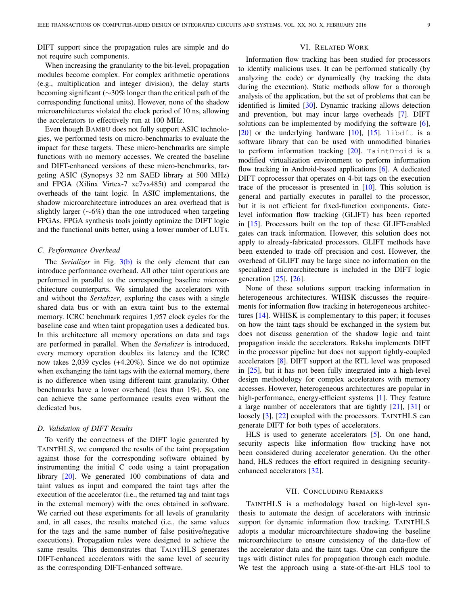DIFT support since the propagation rules are simple and do not require such components.

## VI. RELATED WORK

When increasing the granularity to the bit-level, propagation modules become complex. For complex arithmetic operations (e.g., multiplication and integer division), the delay starts becoming significant (∼30% longer than the critical path of the corresponding functional units). However, none of the shadow microarchitectures violated the clock period of 10 ns, allowing the accelerators to effectively run at 100 MHz.

Even though BAMBU does not fully support ASIC technologies, we performed tests on micro-benchmarks to evaluate the impact for these targets. These micro-benchmarks are simple functions with no memory accesses. We created the baseline and DIFT-enhanced versions of these micro-benchmarks, targeting ASIC (Synopsys 32 nm SAED library at 500 MHz) and FPGA (Xilinx Virtex-7 xc7vx485t) and compared the overheads of the taint logic. In ASIC implementations, the shadow microarchitecture introduces an area overhead that is slightly larger (∼6%) than the one introduced when targeting FPGAs. FPGA synthesis tools jointly optimize the DIFT logic and the functional units better, using a lower number of LUTs.

# <span id="page-8-0"></span>*C. Performance Overhead*

The *Serializer* in Fig. [3](#page-3-2)[\(b\)](#page-3-4) is the only element that can introduce performance overhead. All other taint operations are performed in parallel to the corresponding baseline microarchitecture counterparts. We simulated the accelerators with and without the *Serializer*, exploring the cases with a single shared data bus or with an extra taint bus to the external memory. ICRC benchmark requires 1,957 clock cycles for the baseline case and when taint propagation uses a dedicated bus. In this architecture all memory operations on data and tags are performed in parallel. When the *Serializer* is introduced, every memory operation doubles its latency and the ICRC now takes 2,039 cycles (+4.20%). Since we do not optimize when exchanging the taint tags with the external memory, there is no difference when using different taint granularity. Other benchmarks have a lower overhead (less than 1%). So, one can achieve the same performance results even without the dedicated bus.

# <span id="page-8-1"></span>*D. Validation of DIFT Results*

To verify the correctness of the DIFT logic generated by TAINTHLS, we compared the results of the taint propagation against those for the corresponding software obtained by instrumenting the initial C code using a taint propagation library [\[20\]](#page-9-19). We generated 100 combinations of data and taint values as input and compared the taint tags after the execution of the accelerator (i.e., the returned tag and taint tags in the external memory) with the ones obtained in software. We carried out these experiments for all levels of granularity and, in all cases, the results matched (i.e., the same values for the tags and the same number of false positive/negative executions). Propagation rules were designed to achieve the same results. This demonstrates that TAINTHLS generates DIFT-enhanced accelerators with the same level of security as the corresponding DIFT-enhanced software.

Information flow tracking has been studied for processors to identify malicious uses. It can be performed statically (by analyzing the code) or dynamically (by tracking the data during the execution). Static methods allow for a thorough analysis of the application, but the set of problems that can be identified is limited [\[30\]](#page-9-29). Dynamic tracking allows detection and prevention, but may incur large overheads [\[7\]](#page-9-6). DIFT solutions can be implemented by modifying the software [\[6\]](#page-9-5),  $[20]$  or the underlying hardware  $[10]$ ,  $[15]$ . libdft is a software library that can be used with unmodified binaries to perform information tracking [\[20\]](#page-9-19). TaintDroid is a modified virtualization environment to perform information flow tracking in Android-based applications [\[6\]](#page-9-5). A dedicated DIFT coprocessor that operates on 4-bit tags on the execution trace of the processor is presented in [\[10\]](#page-9-9). This solution is general and partially executes in parallel to the processor, but it is not efficient for fixed-function components. Gatelevel information flow tracking (GLIFT) has been reported in [\[15\]](#page-9-14). Processors built on the top of these GLIFT-enabled gates can track information. However, this solution does not apply to already-fabricated processors. GLIFT methods have been extended to trade off precision and cost. However, the overhead of GLIFT may be large since no information on the specialized microarchitecture is included in the DIFT logic generation [\[25\]](#page-9-24), [\[26\]](#page-9-25).

None of these solutions support tracking information in heterogeneous architectures. WHISK discusses the requirements for information flow tracking in heterogeneous architectures [\[14\]](#page-9-13). WHISK is complementary to this paper; it focuses on how the taint tags should be exchanged in the system but does not discuss generation of the shadow logic and taint propagation inside the accelerators. Raksha implements DIFT in the processor pipeline but does not support tightly-coupled accelerators [\[8\]](#page-9-7). DIFT support at the RTL level was proposed in [\[25\]](#page-9-24), but it has not been fully integrated into a high-level design methodology for complex accelerators with memory accesses. However, heterogeneous architectures are popular in high-performance, energy-efficient systems [\[1\]](#page-9-0). They feature a large number of accelerators that are tightly [\[21\]](#page-9-20), [\[31\]](#page-9-30) or loosely [\[3\]](#page-9-2), [\[22\]](#page-9-21) coupled with the processors. TAINTHLS can generate DIFT for both types of accelerators.

HLS is used to generate accelerators [\[5\]](#page-9-4). On one hand, security aspects like information flow tracking have not been considered during accelerator generation. On the other hand, HLS reduces the effort required in designing securityenhanced accelerators [\[32\]](#page-9-31).

## VII. CONCLUDING REMARKS

TAINTHLS is a methodology based on high-level synthesis to automate the design of accelerators with intrinsic support for dynamic information flow tracking. TAINTHLS adopts a modular microarchitecture shadowing the baseline microarchitecture to ensure consistency of the data-flow of the accelerator data and the taint tags. One can configure the tags with distinct rules for propagation through each module. We test the approach using a state-of-the-art HLS tool to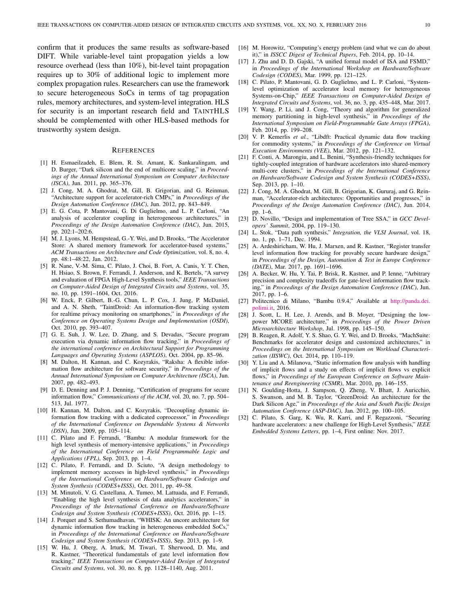confirm that it produces the same results as software-based DIFT. While variable-level taint propagation yields a low resource overhead (less than 10%), bit-level taint propagation requires up to 30% of additional logic to implement more complex propagation rules. Researchers can use the framework to secure heterogeneous SoCs in terms of tag propagation rules, memory architectures, and system-level integration. HLS for security is an important research field and TAINTHLS should be complemented with other HLS-based methods for trustworthy system design.

#### **REFERENCES**

- <span id="page-9-0"></span>[1] H. Esmaeilzadeh, E. Blem, R. St. Amant, K. Sankaralingam, and D. Burger, "Dark silicon and the end of multicore scaling," in *Proceedings of the Annual International Symposium on Computer Architecture (ISCA)*, Jun. 2011, pp. 365–376.
- <span id="page-9-1"></span>[2] J. Cong, M. A. Ghodrat, M. Gill, B. Grigorian, and G. Reinman, "Architecture support for accelerator-rich CMPs," in *Proceedings of the Design Automation Conference (DAC)*, Jun. 2012, pp. 843–849.
- <span id="page-9-2"></span>[3] E. G. Cota, P. Mantovani, G. Di Guglielmo, and L. P. Carloni, "An analysis of accelerator coupling in heterogeneous architectures," in *Proceedings of the Design Automation Conference (DAC)*, Jun. 2015, pp. 202:1–202:6.
- <span id="page-9-3"></span>[4] M. J. Lyons, M. Hempstead, G.-Y. Wei, and D. Brooks, "The Accelerator Store: A shared memory framework for accelerator-based systems," *ACM Transactions on Architecture and Code Optimization*, vol. 8, no. 4, pp. 48:1–48:22, Jan. 2012.
- <span id="page-9-4"></span>[5] R. Nane, V.-M. Sima, C. Pilato, J. Choi, B. Fort, A. Canis, Y. T. Chen, H. Hsiao, S. Brown, F. Ferrandi, J. Anderson, and K. Bertels, "A survey and evaluation of FPGA High-Level Synthesis tools," *IEEE Transactions on Computer-Aided Design of Integrated Circuits and Systems*, vol. 35, no. 10, pp. 1591–1604, Oct. 2016.
- <span id="page-9-5"></span>[6] W. Enck, P. Gilbert, B.-G. Chun, L. P. Cox, J. Jung, P. McDaniel, and A. N. Sheth, "TaintDroid: An information-flow tracking system for realtime privacy monitoring on smartphones," in *Proceedings of the Conference on Operating Systems Design and Implementation (OSDI)*, Oct. 2010, pp. 393–407.
- <span id="page-9-6"></span>[7] G. E. Suh, J. W. Lee, D. Zhang, and S. Devadas, "Secure program execution via dynamic information flow tracking," in *Proceedings of the international conference on Architectural Support for Programming Languages and Operating Systems (ASPLOS)*, Oct. 2004, pp. 85–96.
- <span id="page-9-7"></span>[8] M. Dalton, H. Kannan, and C. Kozyrakis, "Raksha: A flexible information flow architecture for software security," in *Proceedings of the Annual International Symposium on Computer Architecture (ISCA)*, Jun. 2007, pp. 482–493.
- <span id="page-9-8"></span>[9] D. E. Denning and P. J. Denning, "Certification of programs for secure information flow," *Communications of the ACM*, vol. 20, no. 7, pp. 504– 513, Jul. 1977.
- <span id="page-9-9"></span>[10] H. Kannan, M. Dalton, and C. Kozyrakis, "Decoupling dynamic information flow tracking with a dedicated coprocessor," in *Proceedings of the International Conference on Dependable Systems & Networks (DSN)*, Jun. 2009, pp. 105–114.
- <span id="page-9-10"></span>[11] C. Pilato and F. Ferrandi, "Bambu: A modular framework for the high level synthesis of memory-intensive applications," in *Proceedings of the International Conference on Field Programmable Logic and Applications (FPL)*, Sep. 2013, pp. 1–4.
- <span id="page-9-11"></span>[12] C. Pilato, F. Ferrandi, and D. Sciuto, "A design methodology to implement memory accesses in high-level synthesis," in *Proceedings of the International Conference on Hardware/Software Codesign and System Synthesis (CODES+ISSS)*, Oct. 2011, pp. 49–58.
- <span id="page-9-12"></span>[13] M. Minutoli, V. G. Castellana, A. Tumeo, M. Lattuada, and F. Ferrandi, "Enabling the high level synthesis of data analytics accelerators," in *Proceedings of the International Conference on Hardware/Software Codesign and System Synthesis (CODES+ISSS)*, Oct. 2016, pp. 1–15.
- <span id="page-9-13"></span>[14] J. Porquet and S. Sethumadhavan, "WHISK: An uncore architecture for dynamic information flow tracking in heterogeneous embedded SoCs," in *Proceedings of the International Conference on Hardware/Software Codesign and System Synthesis (CODES+ISSS)*, Sep. 2013, pp. 1–9.
- <span id="page-9-14"></span>[15] W. Hu, J. Oberg, A. Irturk, M. Tiwari, T. Sherwood, D. Mu, and R. Kastner, "Theoretical fundamentals of gate level information flow tracking," *IEEE Transactions on Computer-Aided Design of Integrated Circuits and Systems*, vol. 30, no. 8, pp. 1128–1140, Aug. 2011.
- <span id="page-9-15"></span>[16] M. Horowitz, "Computing's energy problem (and what we can do about it)," in *ISSCC Digest of Technical Papers*, Feb. 2014, pp. 10–14.
- <span id="page-9-16"></span>[17] J. Zhu and D. D. Gajski, "A unified formal model of ISA and FSMD," in *Proceedings of the International Workshop on Hardware/Software Codesign (CODES)*, Mar. 1999, pp. 121–125.
- <span id="page-9-17"></span>[18] C. Pilato, P. Mantovani, G. D. Guglielmo, and L. P. Carloni, "Systemlevel optimization of accelerator local memory for heterogeneous Systems-on-Chip," *IEEE Transactions on Computer-Aided Design of Integrated Circuits and Systems*, vol. 36, no. 3, pp. 435–448, Mar. 2017.
- <span id="page-9-18"></span>[19] Y. Wang, P. Li, and J. Cong, "Theory and algorithm for generalized memory partitioning in high-level synthesis," in *Proceedings of the International Symposium on Field-Programmable Gate Arrays (FPGA)*, Feb. 2014, pp. 199–208.
- <span id="page-9-19"></span>[20] V. P. Kemerlis *et al.*, "Libdft: Practical dynamic data flow tracking for commodity systems," in *Proceedings of the Conference on Virtual Execution Environments (VEE)*, Mar. 2012, pp. 121–132.
- <span id="page-9-20"></span>[21] F. Conti, A. Marongiu, and L. Benini, "Synthesis-friendly techniques for tightly-coupled integration of hardware accelerators into shared-memory multi-core clusters," in *Proceedings of the International Conference on Hardware/Software Codesign and System Synthesis (CODES+ISSS)*, Sep. 2013, pp. 1–10.
- <span id="page-9-21"></span>[22] J. Cong, M. A. Ghodrat, M. Gill, B. Grigorian, K. Gururaj, and G. Reinman, "Accelerator-rich architectures: Opportunities and progresses," in *Proceedings of the Design Automation Conference (DAC)*, Jun. 2014, pp. 1–6.
- <span id="page-9-22"></span>[23] D. Novillo, "Design and implementation of Tree SSA," in *GCC Developers' Summit*, 2004, pp. 119–130.
- <span id="page-9-23"></span>[24] L. Stok, "Data path synthesis," *Integration, the VLSI Journal*, vol. 18, no. 1, pp. 1–71, Dec. 1994.
- <span id="page-9-24"></span>[25] A. Ardeshiricham, W. Hu, J. Marxen, and R. Kastner, "Register transfer level information flow tracking for provably secure hardware design," in *Proceedings of the Design, Automation & Test in Europe Conference (DATE)*, Mar. 2017, pp. 1691–1696.
- <span id="page-9-25"></span>[26] A. Becker, W. Hu, Y. Tai, P. Brisk, R. Kastner, and P. Ienne, "Arbitrary precision and complexity tradeoffs for gate-level information flow tracking," in *Proceedings of the Design Automation Conference (DAC)*, Jun. 2017, pp. 1–6.
- <span id="page-9-26"></span>[27] Politecnico di Milano, "Bambu 0.9.4," Available at [http://panda.dei.](http://panda.dei.polimi.it) [polimi.it,](http://panda.dei.polimi.it) 2016.
- <span id="page-9-27"></span>[28] J. Scott, L. H. Lee, J. Arends, and B. Moyer, "Designing the lowpower MCORE architecture," in *Proceedings of the Power Driven Microarchitecture Workshop*, Jul. 1998, pp. 145–150.
- <span id="page-9-28"></span>[29] B. Reagen, R. Adolf, Y. S. Shao, G. Y. Wei, and D. Brooks, "MachSuite: Benchmarks for accelerator design and customized architectures," in *Proceedings on the International Symposium on Workload Characterization (IISWC)*, Oct. 2014, pp. 110–119.
- <span id="page-9-29"></span>[30] Y. Liu and A. Milanova, "Static information flow analysis with handling of implicit flows and a study on effects of implicit flows vs explicit flows," in *Proceedings of the European Conference on Software Maintenance and Reengineering (CSMR)*, Mar. 2010, pp. 146–155.
- <span id="page-9-30"></span>[31] N. Goulding-Hotta, J. Sampson, Q. Zheng, V. Bhatt, J. Auricchio, S. Swanson, and M. B. Taylor, "GreenDroid: An architecture for the Dark Silicon Age," in *Proceedings of the Asia and South Pacific Design Automation Conference (ASP-DAC)*, Jan. 2012, pp. 100–105.
- <span id="page-9-31"></span>[32] C. Pilato, S. Garg, K. Wu, R. Karri, and F. Regazzoni, "Securing hardware accelerators: a new challenge for High-Level Synthesis," *IEEE Embedded Systems Letters*, pp. 1–4, First online: Nov. 2017.